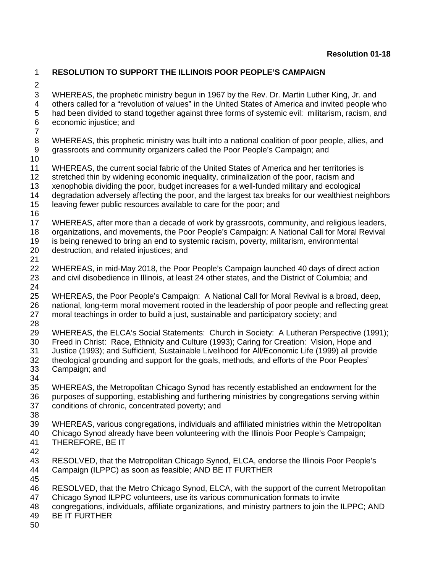## **RESOLUTION TO SUPPORT THE ILLINOIS POOR PEOPLE'S CAMPAIGN**

 WHEREAS, the prophetic ministry begun in 1967 by the Rev. Dr. Martin Luther King, Jr. and others called for a "revolution of values" in the United States of America and invited people who had been divided to stand together against three forms of systemic evil: militarism, racism, and economic injustice; and WHEREAS, this prophetic ministry was built into a national coalition of poor people, allies, and grassroots and community organizers called the Poor People's Campaign; and WHEREAS, the current social fabric of the United States of America and her territories is stretched thin by widening economic inequality, criminalization of the poor, racism and xenophobia dividing the poor, budget increases for a well-funded military and ecological degradation adversely affecting the poor, and the largest tax breaks for our wealthiest neighbors leaving fewer public resources available to care for the poor; and WHEREAS, after more than a decade of work by grassroots, community, and religious leaders, organizations, and movements, the Poor People's Campaign: A National Call for Moral Revival 19 is being renewed to bring an end to systemic racism, poverty, militarism, environmental<br>20 destruction, and related injustices; and destruction, and related injustices; and WHEREAS, in mid-May 2018, the Poor People's Campaign launched 40 days of direct action and civil disobedience in Illinois, at least 24 other states, and the District of Columbia; and WHEREAS, the Poor People's Campaign: A National Call for Moral Revival is a broad, deep, 26 national, long-term moral movement rooted in the leadership of poor people and reflecting great<br>27 moral teachings in order to build a just, sustainable and participatory society; and moral teachings in order to build a just, sustainable and participatory society; and WHEREAS, the ELCA's Social Statements: Church in Society: A Lutheran Perspective (1991); Freed in Christ: Race, Ethnicity and Culture (1993); Caring for Creation: Vision, Hope and Justice (1993); and Sufficient, Sustainable Livelihood for All/Economic Life (1999) all provide theological grounding and support for the goals, methods, and efforts of the Poor Peoples' Campaign; and WHEREAS, the Metropolitan Chicago Synod has recently established an endowment for the purposes of supporting, establishing and furthering ministries by congregations serving within conditions of chronic, concentrated poverty; and WHEREAS, various congregations, individuals and affiliated ministries within the Metropolitan Chicago Synod already have been volunteering with the Illinois Poor People's Campaign; THEREFORE, BE IT RESOLVED, that the Metropolitan Chicago Synod, ELCA, endorse the Illinois Poor People's Campaign (ILPPC) as soon as feasible; AND BE IT FURTHER RESOLVED, that the Metro Chicago Synod, ELCA, with the support of the current Metropolitan Chicago Synod ILPPC volunteers, use its various communication formats to invite congregations, individuals, affiliate organizations, and ministry partners to join the ILPPC; AND BE IT FURTHER